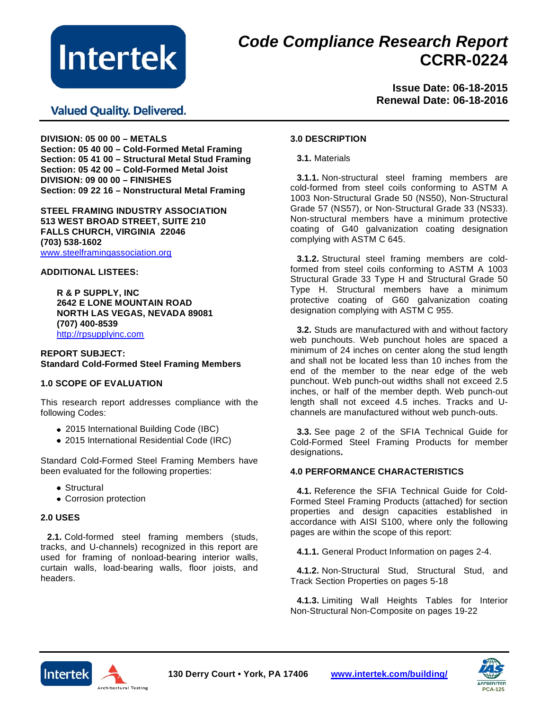

# *Code Compliance Research Report* **CCRR-0224**

**Valued Quality. Delivered.** 

**Issue Date: 06-18-2015 Renewal Date: 06-18-2016**

**DIVISION: 05 00 00 – METALS Section: 05 40 00 – Cold-Formed Metal Framing Section: 05 41 00 – Structural Metal Stud Framing Section: 05 42 00 – Cold-Formed Metal Joist DIVISION: 09 00 00 – FINISHES Section: 09 22 16 – Nonstructural Metal Framing**

**STEEL FRAMING INDUSTRY ASSOCIATION 513 WEST BROAD STREET, SUITE 210 FALLS CHURCH, VIRGINIA 22046 (703) 538-1602** [www.steelframingassociation.org](http://www.steelframingassociation.org)

### **ADDITIONAL LISTEES:**

**R & P SUPPLY, INC 2642 E LONE MOUNTAIN ROAD NORTH LAS VEGAS, NEVADA 89081 (707) 400-8539** <http://rpsupplyinc.com>

**REPORT SUBJECT: Standard Cold-Formed Steel Framing Members**

#### **1.0 SCOPE OF EVALUATION**

This research report addresses compliance with the following Codes:

- 2015 International Building Code (IBC)
- 2015 International Residential Code (IRC)

Standard Cold-Formed Steel Framing Members have been evaluated for the following properties:

- Structural
- Corrosion protection

# **2.0 USES**

**2.1.** Cold-formed steel framing members (studs, tracks, and U-channels) recognized in this report are used for framing of nonload-bearing interior walls, curtain walls, load-bearing walls, floor joists, and headers.

## **3.0 DESCRIPTION**

**3.1.** Materials

**3.1.1.** Non-structural steel framing members are cold-formed from steel coils conforming to ASTM A 1003 Non-Structural Grade 50 (NS50), Non-Structural Grade 57 (NS57), or Non-Structural Grade 33 (NS33). Non-structural members have a minimum protective coating of G40 galvanization coating designation complying with ASTM C 645.

**3.1.2.** Structural steel framing members are coldformed from steel coils conforming to ASTM A 1003 Structural Grade 33 Type H and Structural Grade 50 Type H. Structural members have a minimum protective coating of G60 galvanization coating designation complying with ASTM C 955.

**3.2.** Studs are manufactured with and without factory web punchouts. Web punchout holes are spaced a minimum of 24 inches on center along the stud length and shall not be located less than 10 inches from the end of the member to the near edge of the web punchout. Web punch-out widths shall not exceed 2.5 inches, or half of the member depth. Web punch-out length shall not exceed 4.5 inches. Tracks and Uchannels are manufactured without web punch-outs.

**3.3.** See page 2 of the SFIA Technical Guide for Cold-Formed Steel Framing Products for member designations**.**

# **4.0 PERFORMANCE CHARACTERISTICS**

**4.1.** Reference the SFIA Technical Guide for Cold-Formed Steel Framing Products (attached) for section properties and design capacities established in accordance with AISI S100, where only the following pages are within the scope of this report:

**4.1.1.** General Product Information on pages 2-4.

**4.1.2.** Non-Structural Stud, Structural Stud, and Track Section Properties on pages 5-18

**4.1.3.** Limiting Wall Heights Tables for Interior Non-Structural Non-Composite on pages 19-22



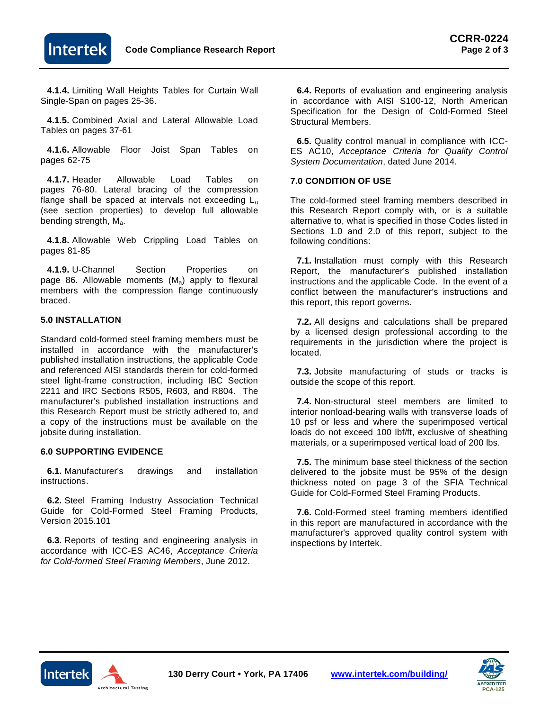

**4.1.4.** Limiting Wall Heights Tables for Curtain Wall Single-Span on pages 25-36.

**4.1.5.** Combined Axial and Lateral Allowable Load Tables on pages 37-61

**4.1.6.** Allowable Floor Joist Span Tables on pages 62-75

**4.1.7.** Header Allowable Load Tables on pages 76-80. Lateral bracing of the compression flange shall be spaced at intervals not exceeding  $L<sub>u</sub>$ (see section properties) to develop full allowable bending strength, Ma.

**4.1.8.** Allowable Web Crippling Load Tables on pages 81-85

**4.1.9.** U-Channel Section Properties on page 86. Allowable moments  $(M_a)$  apply to flexural members with the compression flange continuously braced.

### **5.0 INSTALLATION**

Standard cold-formed steel framing members must be installed in accordance with the manufacturer's published installation instructions, the applicable Code and referenced AISI standards therein for cold-formed steel light-frame construction, including IBC Section 2211 and IRC Sections R505, R603, and R804. The manufacturer's published installation instructions and this Research Report must be strictly adhered to, and a copy of the instructions must be available on the jobsite during installation.

### **6.0 SUPPORTING EVIDENCE**

**6.1.** Manufacturer's drawings and installation instructions.

**6.2.** Steel Framing Industry Association Technical Guide for Cold-Formed Steel Framing Products, Version 2015.101

**6.3.** Reports of testing and engineering analysis in accordance with ICC-ES AC46, *Acceptance Criteria for Cold-formed Steel Framing Members*, June 2012.

**6.4.** Reports of evaluation and engineering analysis in accordance with AISI S100-12, North American Specification for the Design of Cold-Formed Steel Structural Members.

**6.5.** Quality control manual in compliance with ICC-ES AC10, *Acceptance Criteria for Quality Control System Documentation*, dated June 2014.

#### **7.0 CONDITION OF USE**

The cold-formed steel framing members described in this Research Report comply with, or is a suitable alternative to, what is specified in those Codes listed in Sections 1.0 and 2.0 of this report, subject to the following conditions:

**7.1.** Installation must comply with this Research Report, the manufacturer's published installation instructions and the applicable Code. In the event of a conflict between the manufacturer's instructions and this report, this report governs.

**7.2.** All designs and calculations shall be prepared by a licensed design professional according to the requirements in the jurisdiction where the project is located.

**7.3.** Jobsite manufacturing of studs or tracks is outside the scope of this report.

**7.4.** Non-structural steel members are limited to interior nonload-bearing walls with transverse loads of 10 psf or less and where the superimposed vertical loads do not exceed 100 lbf/ft, exclusive of sheathing materials, or a superimposed vertical load of 200 lbs.

**7.5.** The minimum base steel thickness of the section delivered to the jobsite must be 95% of the design thickness noted on page 3 of the SFIA Technical Guide for Cold-Formed Steel Framing Products.

**7.6.** Cold-Formed steel framing members identified in this report are manufactured in accordance with the manufacturer's approved quality control system with inspections by Intertek.